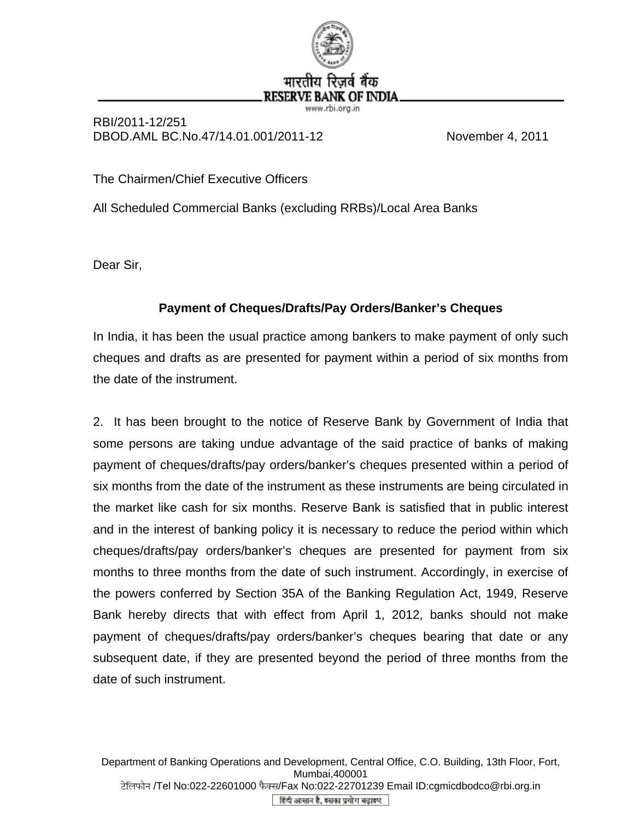

## RBI/2011-12/251 DBOD.AML BC.No.47/14.01.001/2011-12 November 4, 2011

The Chairmen/Chief Executive Officers

All Scheduled Commercial Banks (excluding RRBs)/Local Area Banks

Dear Sir,

## **Payment of Cheques/Drafts/Pay Orders/Banker's Cheques**

In India, it has been the usual practice among bankers to make payment of only such cheques and drafts as are presented for payment within a period of six months from the date of the instrument.

2. It has been brought to the notice of Reserve Bank by Government of India that some persons are taking undue advantage of the said practice of banks of making payment of cheques/drafts/pay orders/banker's cheques presented within a period of six months from the date of the instrument as these instruments are being circulated in the market like cash for six months. Reserve Bank is satisfied that in public interest and in the interest of banking policy it is necessary to reduce the period within which cheques/drafts/pay orders/banker's cheques are presented for payment from six months to three months from the date of such instrument. Accordingly, in exercise of the powers conferred by Section 35A of the Banking Regulation Act, 1949, Reserve Bank hereby directs that with effect from April 1, 2012, banks should not make payment of cheques/drafts/pay orders/banker's cheques bearing that date or any subsequent date, if they are presented beyond the period of three months from the date of such instrument.

Department of Banking Operations and Development, Central Office, C.O. Building, 13th Floor, Fort, Mumbai,400001 टेलिफोन /Tel No:022-22601000 फैक्स/Fax No:022-22701239 Email ID:cgmicdbodco@rbi.org.in हिंदी आसान है, इसका प्रयोग बढ़ाइए